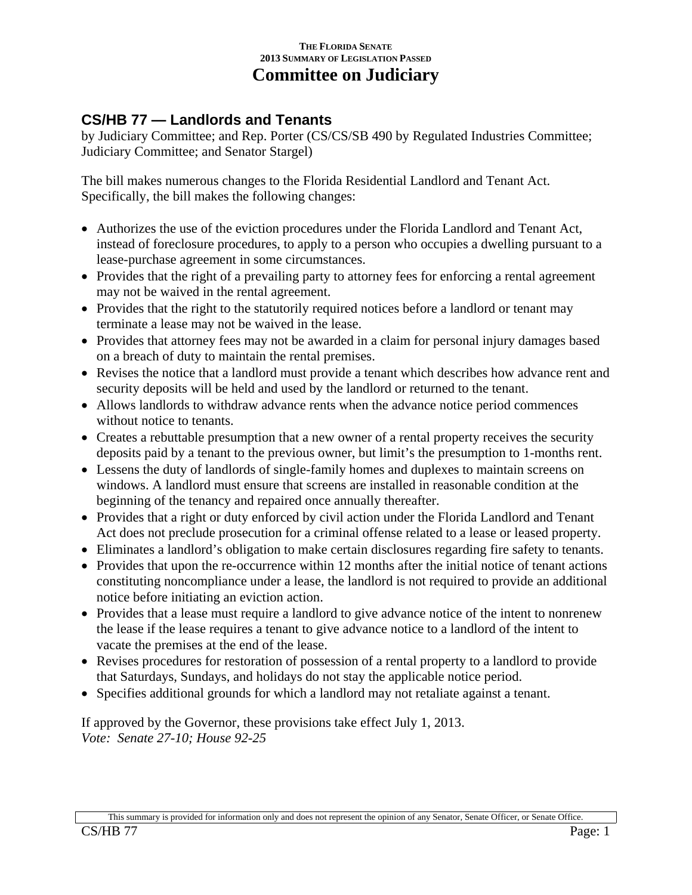# **CS/HB 77 — Landlords and Tenants**

by Judiciary Committee; and Rep. Porter (CS/CS/SB 490 by Regulated Industries Committee; Judiciary Committee; and Senator Stargel)

The bill makes numerous changes to the Florida Residential Landlord and Tenant Act. Specifically, the bill makes the following changes:

- Authorizes the use of the eviction procedures under the Florida Landlord and Tenant Act, instead of foreclosure procedures, to apply to a person who occupies a dwelling pursuant to a lease-purchase agreement in some circumstances.
- Provides that the right of a prevailing party to attorney fees for enforcing a rental agreement may not be waived in the rental agreement.
- Provides that the right to the statutorily required notices before a landlord or tenant may terminate a lease may not be waived in the lease.
- Provides that attorney fees may not be awarded in a claim for personal injury damages based on a breach of duty to maintain the rental premises.
- Revises the notice that a landlord must provide a tenant which describes how advance rent and security deposits will be held and used by the landlord or returned to the tenant.
- Allows landlords to withdraw advance rents when the advance notice period commences without notice to tenants.
- Creates a rebuttable presumption that a new owner of a rental property receives the security deposits paid by a tenant to the previous owner, but limit's the presumption to 1-months rent.
- Lessens the duty of landlords of single-family homes and duplexes to maintain screens on windows. A landlord must ensure that screens are installed in reasonable condition at the beginning of the tenancy and repaired once annually thereafter.
- Provides that a right or duty enforced by civil action under the Florida Landlord and Tenant Act does not preclude prosecution for a criminal offense related to a lease or leased property.
- Eliminates a landlord's obligation to make certain disclosures regarding fire safety to tenants.
- Provides that upon the re-occurrence within 12 months after the initial notice of tenant actions constituting noncompliance under a lease, the landlord is not required to provide an additional notice before initiating an eviction action.
- Provides that a lease must require a landlord to give advance notice of the intent to nonrenew the lease if the lease requires a tenant to give advance notice to a landlord of the intent to vacate the premises at the end of the lease.
- Revises procedures for restoration of possession of a rental property to a landlord to provide that Saturdays, Sundays, and holidays do not stay the applicable notice period.
- Specifies additional grounds for which a landlord may not retaliate against a tenant.

If approved by the Governor, these provisions take effect July 1, 2013. *Vote: Senate 27-10; House 92-25*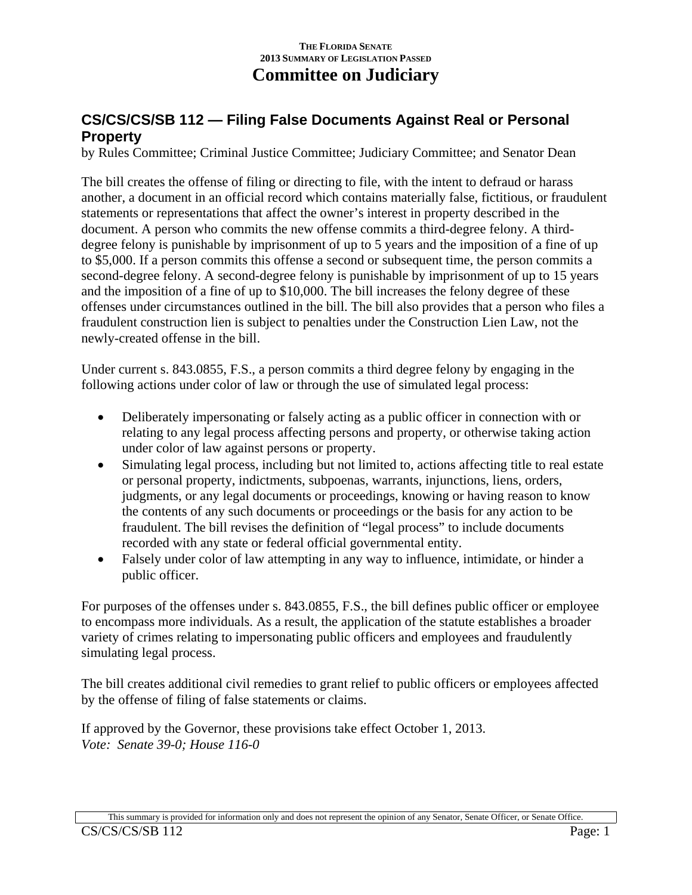## **CS/CS/CS/SB 112 — Filing False Documents Against Real or Personal Property**

by Rules Committee; Criminal Justice Committee; Judiciary Committee; and Senator Dean

The bill creates the offense of filing or directing to file, with the intent to defraud or harass another, a document in an official record which contains materially false, fictitious, or fraudulent statements or representations that affect the owner's interest in property described in the document. A person who commits the new offense commits a third-degree felony. A thirddegree felony is punishable by imprisonment of up to 5 years and the imposition of a fine of up to \$5,000. If a person commits this offense a second or subsequent time, the person commits a second-degree felony. A second-degree felony is punishable by imprisonment of up to 15 years and the imposition of a fine of up to \$10,000. The bill increases the felony degree of these offenses under circumstances outlined in the bill. The bill also provides that a person who files a fraudulent construction lien is subject to penalties under the Construction Lien Law, not the newly-created offense in the bill.

Under current s. 843.0855, F.S., a person commits a third degree felony by engaging in the following actions under color of law or through the use of simulated legal process:

- Deliberately impersonating or falsely acting as a public officer in connection with or relating to any legal process affecting persons and property, or otherwise taking action under color of law against persons or property.
- Simulating legal process, including but not limited to, actions affecting title to real estate or personal property, indictments, subpoenas, warrants, injunctions, liens, orders, judgments, or any legal documents or proceedings, knowing or having reason to know the contents of any such documents or proceedings or the basis for any action to be fraudulent. The bill revises the definition of "legal process" to include documents recorded with any state or federal official governmental entity.
- Falsely under color of law attempting in any way to influence, intimidate, or hinder a public officer.

For purposes of the offenses under s. 843.0855, F.S., the bill defines public officer or employee to encompass more individuals. As a result, the application of the statute establishes a broader variety of crimes relating to impersonating public officers and employees and fraudulently simulating legal process.

The bill creates additional civil remedies to grant relief to public officers or employees affected by the offense of filing of false statements or claims.

If approved by the Governor, these provisions take effect October 1, 2013. *Vote: Senate 39-0; House 116-0*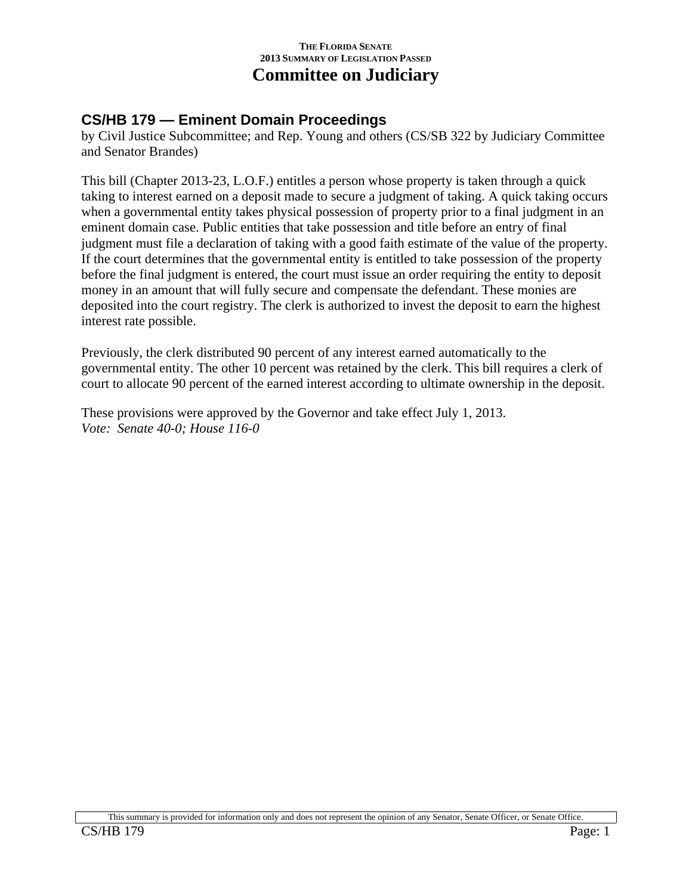### **CS/HB 179 — Eminent Domain Proceedings**

by Civil Justice Subcommittee; and Rep. Young and others (CS/SB 322 by Judiciary Committee and Senator Brandes)

This bill (Chapter 2013-23, L.O.F.) entitles a person whose property is taken through a quick taking to interest earned on a deposit made to secure a judgment of taking. A quick taking occurs when a governmental entity takes physical possession of property prior to a final judgment in an eminent domain case. Public entities that take possession and title before an entry of final judgment must file a declaration of taking with a good faith estimate of the value of the property. If the court determines that the governmental entity is entitled to take possession of the property before the final judgment is entered, the court must issue an order requiring the entity to deposit money in an amount that will fully secure and compensate the defendant. These monies are deposited into the court registry. The clerk is authorized to invest the deposit to earn the highest interest rate possible.

Previously, the clerk distributed 90 percent of any interest earned automatically to the governmental entity. The other 10 percent was retained by the clerk. This bill requires a clerk of court to allocate 90 percent of the earned interest according to ultimate ownership in the deposit.

These provisions were approved by the Governor and take effect July 1, 2013. *Vote: Senate 40-0; House 116-0*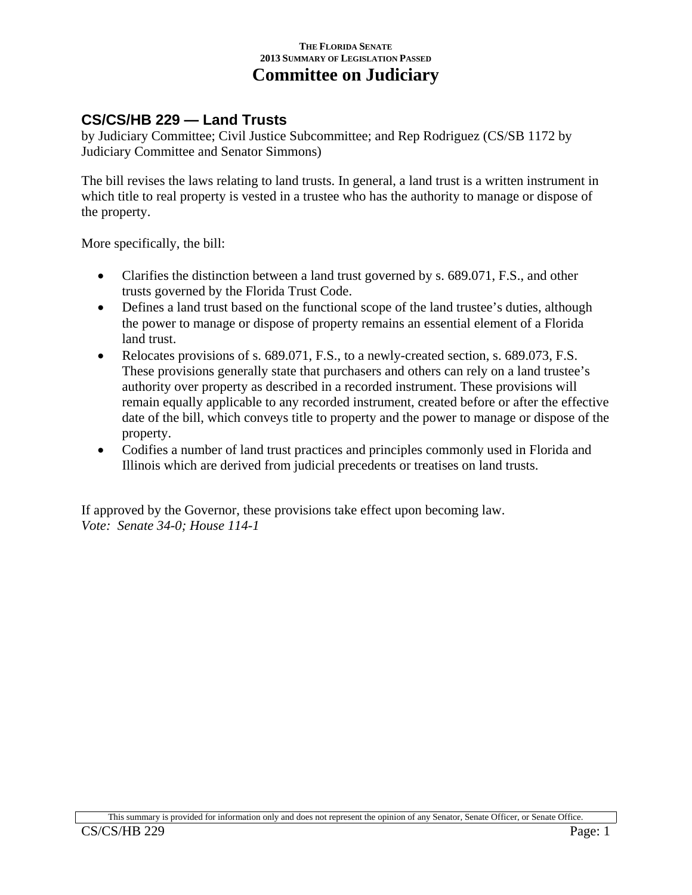### **CS/CS/HB 229 — Land Trusts**

by Judiciary Committee; Civil Justice Subcommittee; and Rep Rodriguez (CS/SB 1172 by Judiciary Committee and Senator Simmons)

The bill revises the laws relating to land trusts. In general, a land trust is a written instrument in which title to real property is vested in a trustee who has the authority to manage or dispose of the property.

More specifically, the bill:

- Clarifies the distinction between a land trust governed by s. 689.071, F.S., and other trusts governed by the Florida Trust Code.
- Defines a land trust based on the functional scope of the land trustee's duties, although the power to manage or dispose of property remains an essential element of a Florida land trust.
- Relocates provisions of s. 689.071, F.S., to a newly-created section, s. 689.073, F.S. These provisions generally state that purchasers and others can rely on a land trustee's authority over property as described in a recorded instrument. These provisions will remain equally applicable to any recorded instrument, created before or after the effective date of the bill, which conveys title to property and the power to manage or dispose of the property.
- Codifies a number of land trust practices and principles commonly used in Florida and Illinois which are derived from judicial precedents or treatises on land trusts.

If approved by the Governor, these provisions take effect upon becoming law. *Vote: Senate 34-0; House 114-1*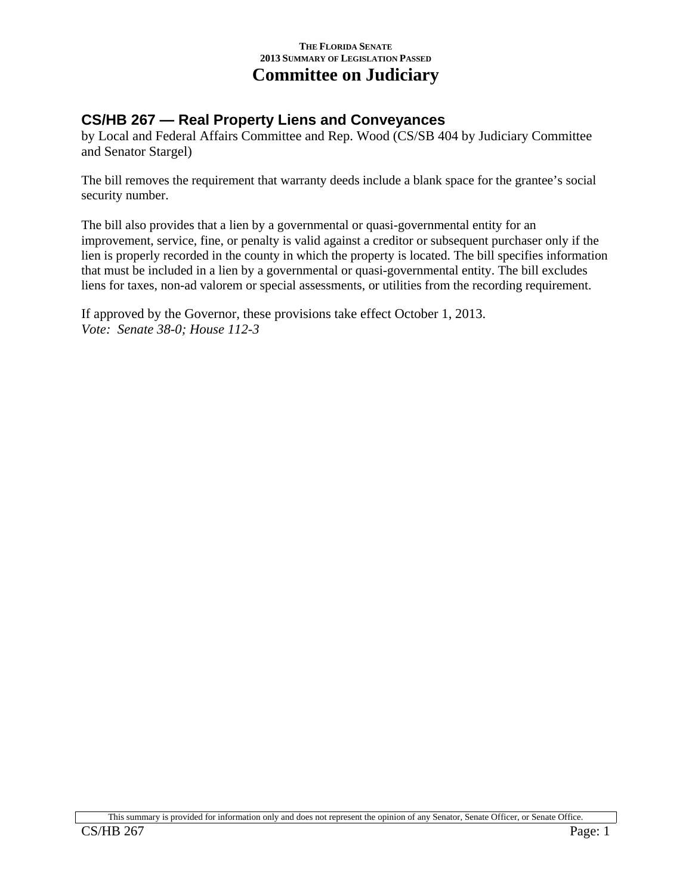### **CS/HB 267 — Real Property Liens and Conveyances**

by Local and Federal Affairs Committee and Rep. Wood (CS/SB 404 by Judiciary Committee and Senator Stargel)

The bill removes the requirement that warranty deeds include a blank space for the grantee's social security number.

The bill also provides that a lien by a governmental or quasi-governmental entity for an improvement, service, fine, or penalty is valid against a creditor or subsequent purchaser only if the lien is properly recorded in the county in which the property is located. The bill specifies information that must be included in a lien by a governmental or quasi-governmental entity. The bill excludes liens for taxes, non-ad valorem or special assessments, or utilities from the recording requirement.

If approved by the Governor, these provisions take effect October 1, 2013. *Vote: Senate 38-0; House 112-3*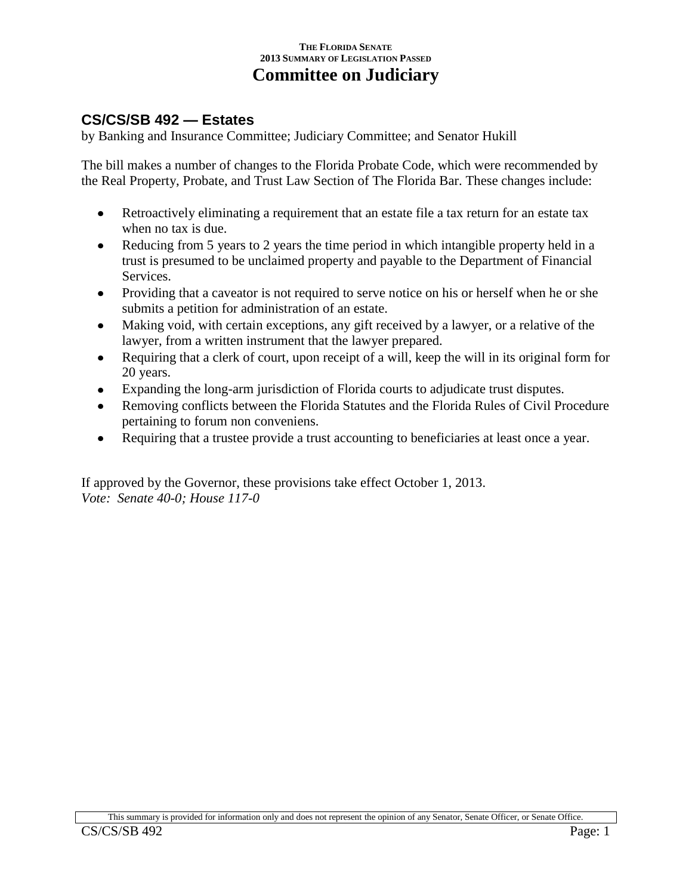### **CS/CS/SB 492 — Estates**

by Banking and Insurance Committee; Judiciary Committee; and Senator Hukill

The bill makes a number of changes to the Florida Probate Code, which were recommended by the Real Property, Probate, and Trust Law Section of The Florida Bar. These changes include:

- Retroactively eliminating a requirement that an estate file a tax return for an estate tax  $\bullet$ when no tax is due.
- Reducing from 5 years to 2 years the time period in which intangible property held in a trust is presumed to be unclaimed property and payable to the Department of Financial Services.
- Providing that a caveator is not required to serve notice on his or herself when he or she submits a petition for administration of an estate.
- Making void, with certain exceptions, any gift received by a lawyer, or a relative of the lawyer, from a written instrument that the lawyer prepared.
- Requiring that a clerk of court, upon receipt of a will, keep the will in its original form for 20 years.
- Expanding the long-arm jurisdiction of Florida courts to adjudicate trust disputes.
- Removing conflicts between the Florida Statutes and the Florida Rules of Civil Procedure pertaining to forum non conveniens.
- Requiring that a trustee provide a trust accounting to beneficiaries at least once a year.

If approved by the Governor, these provisions take effect October 1, 2013. *Vote: Senate 40-0; House 117-0*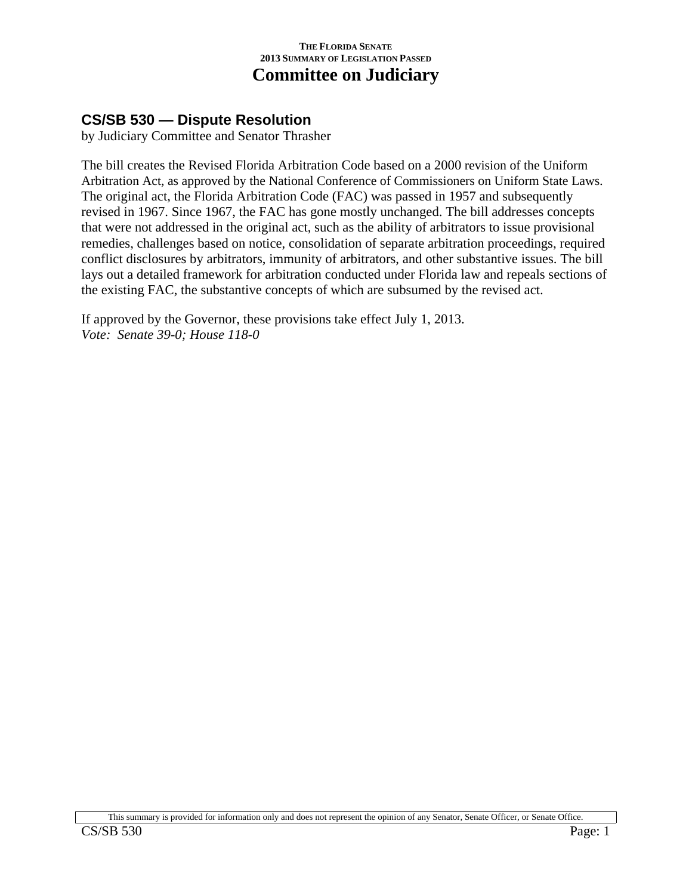# **CS/SB 530 — Dispute Resolution**

by Judiciary Committee and Senator Thrasher

The bill creates the Revised Florida Arbitration Code based on a 2000 revision of the Uniform Arbitration Act, as approved by the National Conference of Commissioners on Uniform State Laws. The original act, the Florida Arbitration Code (FAC) was passed in 1957 and subsequently revised in 1967. Since 1967, the FAC has gone mostly unchanged. The bill addresses concepts that were not addressed in the original act, such as the ability of arbitrators to issue provisional remedies, challenges based on notice, consolidation of separate arbitration proceedings, required conflict disclosures by arbitrators, immunity of arbitrators, and other substantive issues. The bill lays out a detailed framework for arbitration conducted under Florida law and repeals sections of the existing FAC, the substantive concepts of which are subsumed by the revised act.

If approved by the Governor, these provisions take effect July 1, 2013. *Vote: Senate 39-0; House 118-0*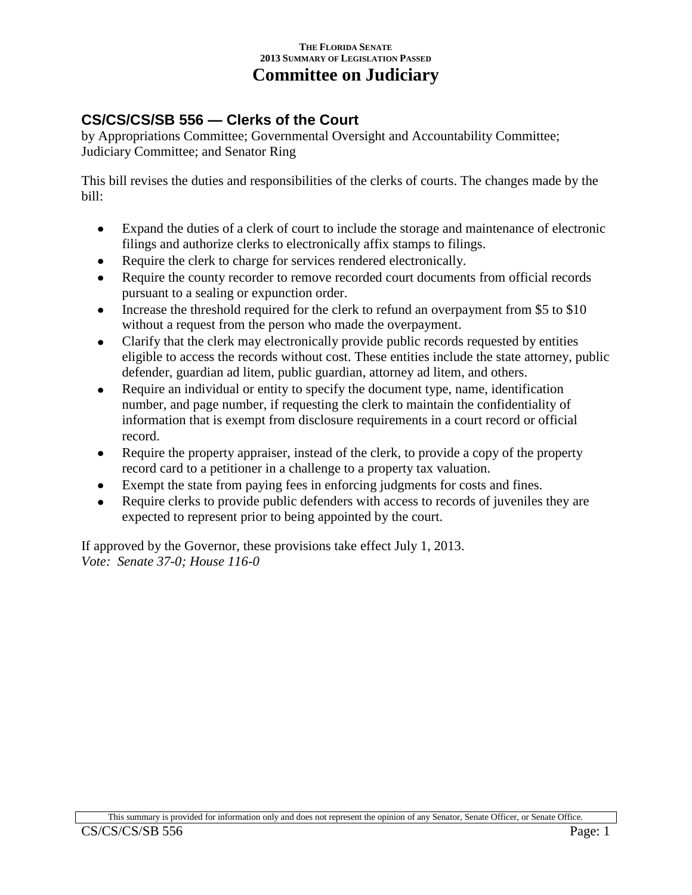### **CS/CS/CS/SB 556 — Clerks of the Court**

by Appropriations Committee; Governmental Oversight and Accountability Committee; Judiciary Committee; and Senator Ring

This bill revises the duties and responsibilities of the clerks of courts. The changes made by the bill:

- Expand the duties of a clerk of court to include the storage and maintenance of electronic  $\bullet$ filings and authorize clerks to electronically affix stamps to filings.
- Require the clerk to charge for services rendered electronically.
- Require the county recorder to remove recorded court documents from official records pursuant to a sealing or expunction order.
- Increase the threshold required for the clerk to refund an overpayment from \$5 to \$10 without a request from the person who made the overpayment.
- Clarify that the clerk may electronically provide public records requested by entities eligible to access the records without cost. These entities include the state attorney, public defender, guardian ad litem, public guardian, attorney ad litem, and others.
- Require an individual or entity to specify the document type, name, identification number, and page number, if requesting the clerk to maintain the confidentiality of information that is exempt from disclosure requirements in a court record or official record.
- Require the property appraiser, instead of the clerk, to provide a copy of the property record card to a petitioner in a challenge to a property tax valuation.
- Exempt the state from paying fees in enforcing judgments for costs and fines.  $\bullet$
- Require clerks to provide public defenders with access to records of juveniles they are expected to represent prior to being appointed by the court.

If approved by the Governor, these provisions take effect July 1, 2013. *Vote: Senate 37-0; House 116-0*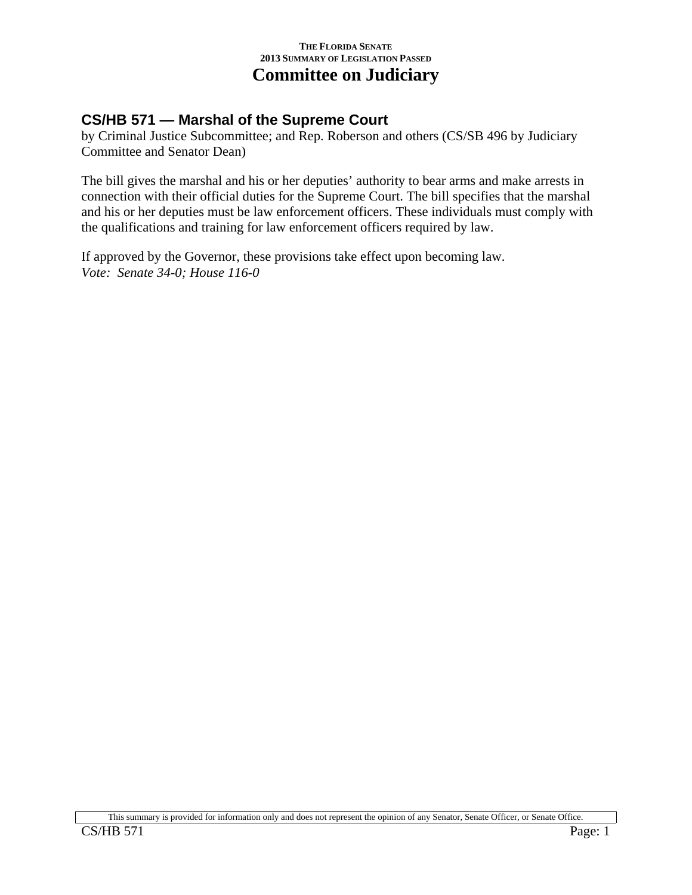### **CS/HB 571 — Marshal of the Supreme Court**

by Criminal Justice Subcommittee; and Rep. Roberson and others (CS/SB 496 by Judiciary Committee and Senator Dean)

The bill gives the marshal and his or her deputies' authority to bear arms and make arrests in connection with their official duties for the Supreme Court. The bill specifies that the marshal and his or her deputies must be law enforcement officers. These individuals must comply with the qualifications and training for law enforcement officers required by law.

If approved by the Governor, these provisions take effect upon becoming law. *Vote: Senate 34-0; House 116-0*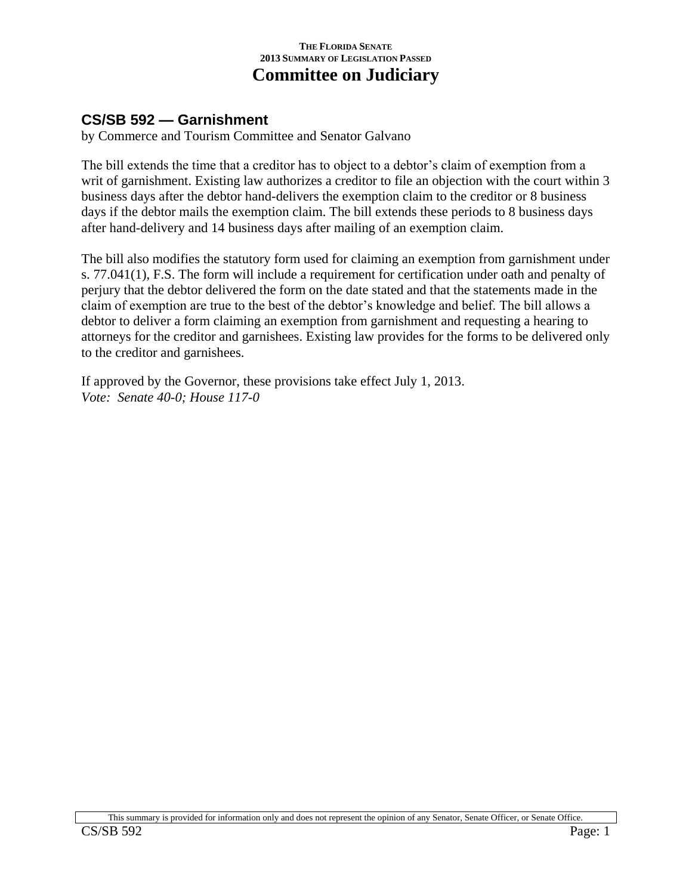### **CS/SB 592 — Garnishment**

by Commerce and Tourism Committee and Senator Galvano

The bill extends the time that a creditor has to object to a debtor's claim of exemption from a writ of garnishment. Existing law authorizes a creditor to file an objection with the court within 3 business days after the debtor hand-delivers the exemption claim to the creditor or 8 business days if the debtor mails the exemption claim. The bill extends these periods to 8 business days after hand-delivery and 14 business days after mailing of an exemption claim.

The bill also modifies the statutory form used for claiming an exemption from garnishment under s. 77.041(1), F.S. The form will include a requirement for certification under oath and penalty of perjury that the debtor delivered the form on the date stated and that the statements made in the claim of exemption are true to the best of the debtor's knowledge and belief. The bill allows a debtor to deliver a form claiming an exemption from garnishment and requesting a hearing to attorneys for the creditor and garnishees. Existing law provides for the forms to be delivered only to the creditor and garnishees.

If approved by the Governor, these provisions take effect July 1, 2013. *Vote: Senate 40-0; House 117-0*

This summary is provided for information only and does not represent the opinion of any Senator, Senate Officer, or Senate Office.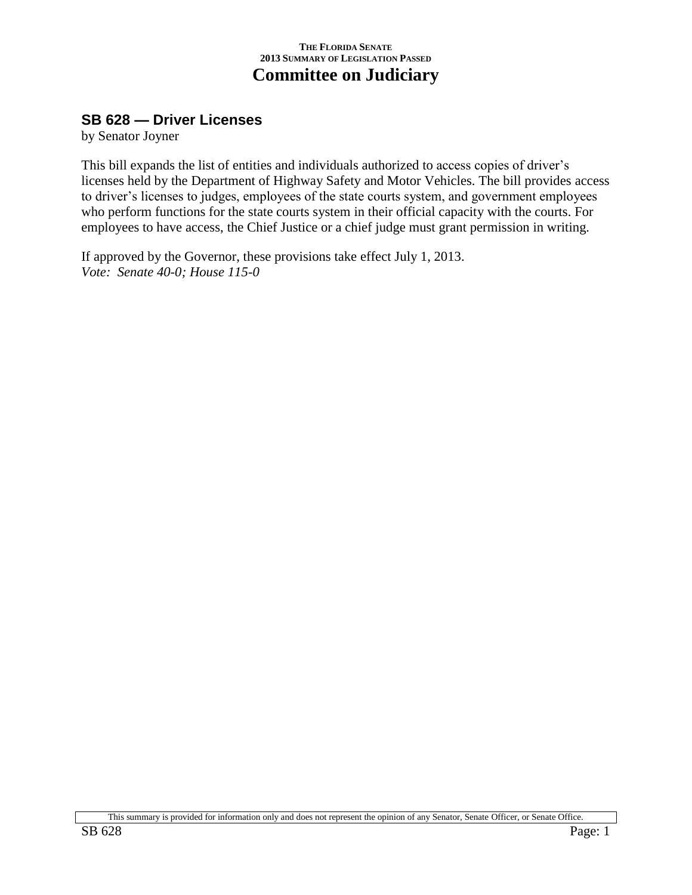### **SB 628 — Driver Licenses**

by Senator Joyner

This bill expands the list of entities and individuals authorized to access copies of driver's licenses held by the Department of Highway Safety and Motor Vehicles. The bill provides access to driver's licenses to judges, employees of the state courts system, and government employees who perform functions for the state courts system in their official capacity with the courts. For employees to have access, the Chief Justice or a chief judge must grant permission in writing.

If approved by the Governor, these provisions take effect July 1, 2013. *Vote: Senate 40-0; House 115-0*

This summary is provided for information only and does not represent the opinion of any Senator, Senate Officer, or Senate Office.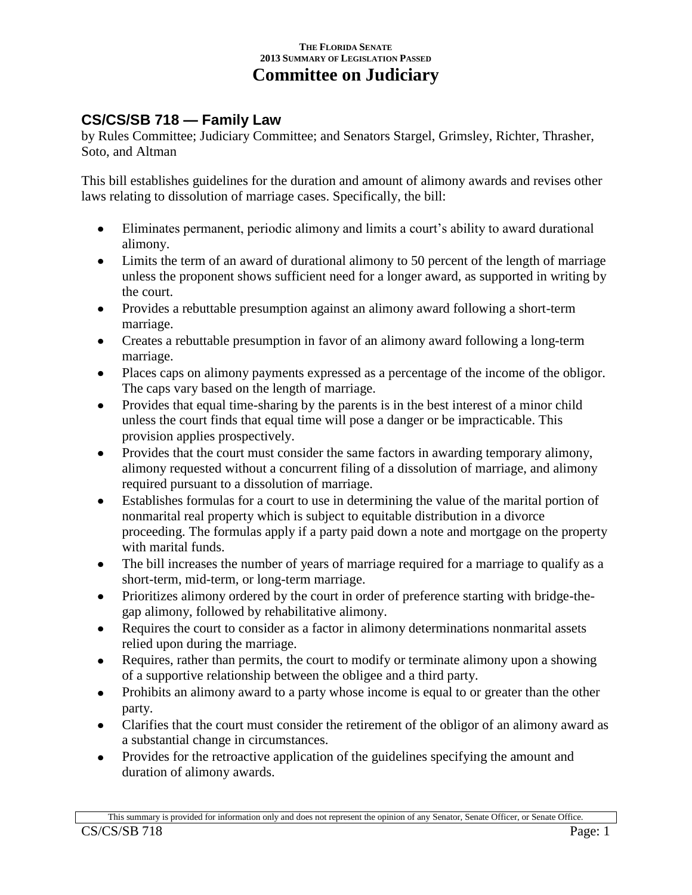# **CS/CS/SB 718 — Family Law**

by Rules Committee; Judiciary Committee; and Senators Stargel, Grimsley, Richter, Thrasher, Soto, and Altman

This bill establishes guidelines for the duration and amount of alimony awards and revises other laws relating to dissolution of marriage cases. Specifically, the bill:

- Eliminates permanent, periodic alimony and limits a court's ability to award durational  $\bullet$ alimony.
- Limits the term of an award of durational alimony to 50 percent of the length of marriage  $\bullet$ unless the proponent shows sufficient need for a longer award, as supported in writing by the court.
- Provides a rebuttable presumption against an alimony award following a short-term  $\bullet$ marriage.
- Creates a rebuttable presumption in favor of an alimony award following a long-term marriage.
- Places caps on alimony payments expressed as a percentage of the income of the obligor. The caps vary based on the length of marriage.
- Provides that equal time-sharing by the parents is in the best interest of a minor child  $\bullet$ unless the court finds that equal time will pose a danger or be impracticable. This provision applies prospectively.
- Provides that the court must consider the same factors in awarding temporary alimony,  $\bullet$ alimony requested without a concurrent filing of a dissolution of marriage, and alimony required pursuant to a dissolution of marriage.
- Establishes formulas for a court to use in determining the value of the marital portion of  $\bullet$ nonmarital real property which is subject to equitable distribution in a divorce proceeding. The formulas apply if a party paid down a note and mortgage on the property with marital funds.
- The bill increases the number of years of marriage required for a marriage to qualify as a  $\bullet$ short-term, mid-term, or long-term marriage.
- Prioritizes alimony ordered by the court in order of preference starting with bridge-thegap alimony, followed by rehabilitative alimony.
- Requires the court to consider as a factor in alimony determinations nonmarital assets relied upon during the marriage.
- Requires, rather than permits, the court to modify or terminate alimony upon a showing of a supportive relationship between the obligee and a third party.
- Prohibits an alimony award to a party whose income is equal to or greater than the other  $\bullet$ party.
- Clarifies that the court must consider the retirement of the obligor of an alimony award as a substantial change in circumstances.
- Provides for the retroactive application of the guidelines specifying the amount and duration of alimony awards.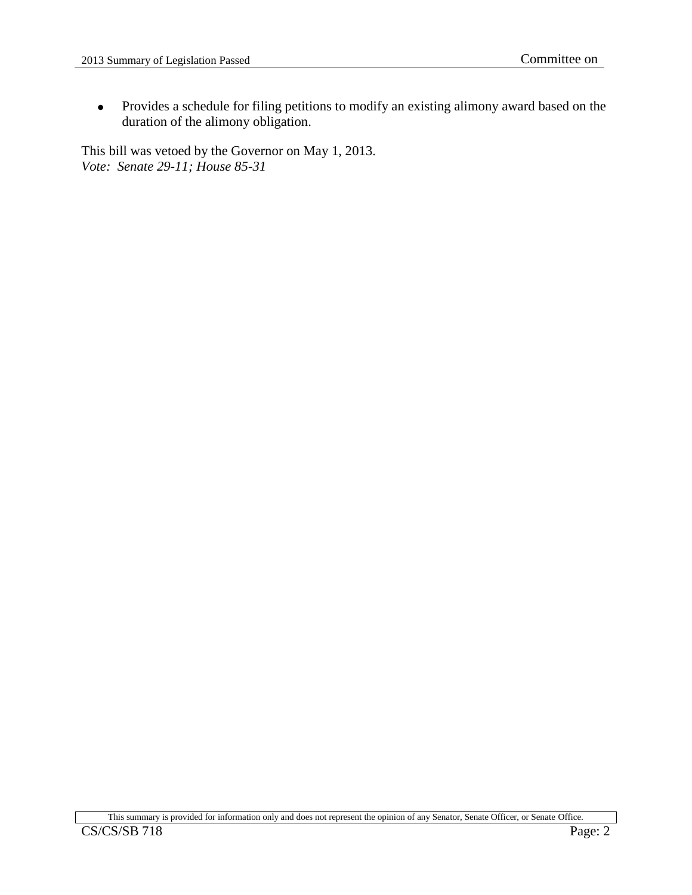Provides a schedule for filing petitions to modify an existing alimony award based on the  $\bullet$ duration of the alimony obligation.

This bill was vetoed by the Governor on May 1, 2013. *Vote: Senate 29-11; House 85-31*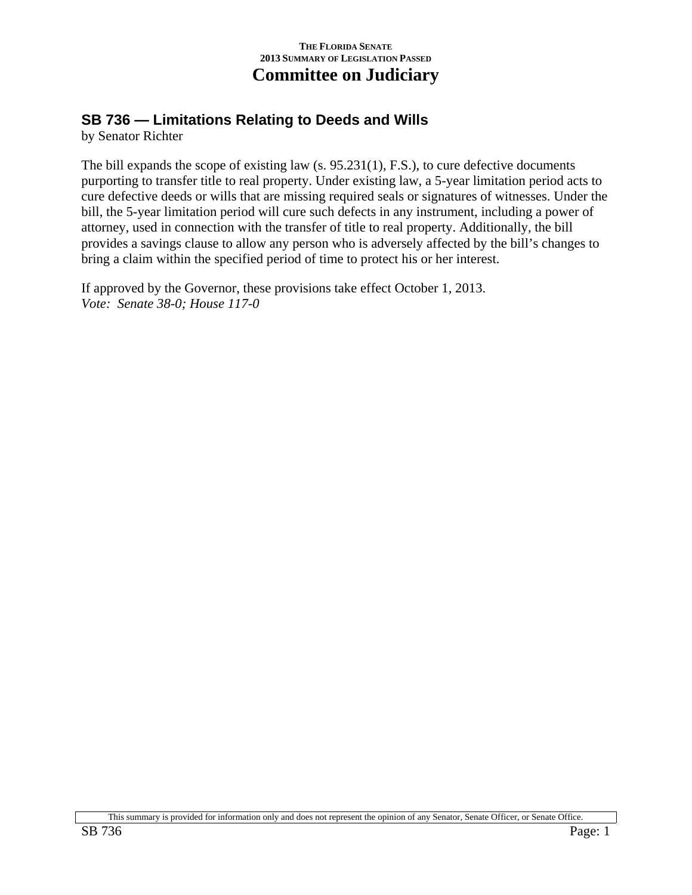### **SB 736 — Limitations Relating to Deeds and Wills**

by Senator Richter

The bill expands the scope of existing law (s. 95.231(1), F.S.), to cure defective documents purporting to transfer title to real property. Under existing law, a 5-year limitation period acts to cure defective deeds or wills that are missing required seals or signatures of witnesses. Under the bill, the 5-year limitation period will cure such defects in any instrument, including a power of attorney, used in connection with the transfer of title to real property. Additionally, the bill provides a savings clause to allow any person who is adversely affected by the bill's changes to bring a claim within the specified period of time to protect his or her interest.

If approved by the Governor, these provisions take effect October 1, 2013. *Vote: Senate 38-0; House 117-0* 

This summary is provided for information only and does not represent the opinion of any Senator, Senate Officer, or Senate Office.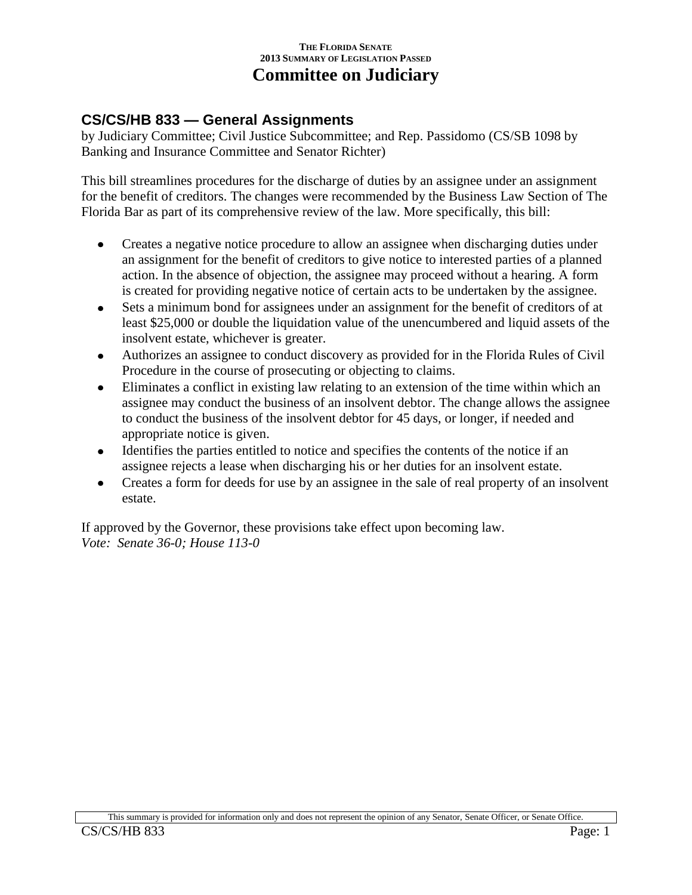### **CS/CS/HB 833 — General Assignments**

by Judiciary Committee; Civil Justice Subcommittee; and Rep. Passidomo (CS/SB 1098 by Banking and Insurance Committee and Senator Richter)

This bill streamlines procedures for the discharge of duties by an assignee under an assignment for the benefit of creditors. The changes were recommended by the Business Law Section of The Florida Bar as part of its comprehensive review of the law. More specifically, this bill:

- Creates a negative notice procedure to allow an assignee when discharging duties under an assignment for the benefit of creditors to give notice to interested parties of a planned action. In the absence of objection, the assignee may proceed without a hearing. A form is created for providing negative notice of certain acts to be undertaken by the assignee.
- Sets a minimum bond for assignees under an assignment for the benefit of creditors of at  $\bullet$ least \$25,000 or double the liquidation value of the unencumbered and liquid assets of the insolvent estate, whichever is greater.
- Authorizes an assignee to conduct discovery as provided for in the Florida Rules of Civil  $\bullet$ Procedure in the course of prosecuting or objecting to claims.
- Eliminates a conflict in existing law relating to an extension of the time within which an assignee may conduct the business of an insolvent debtor. The change allows the assignee to conduct the business of the insolvent debtor for 45 days, or longer, if needed and appropriate notice is given.
- Identifies the parties entitled to notice and specifies the contents of the notice if an  $\bullet$ assignee rejects a lease when discharging his or her duties for an insolvent estate.
- Creates a form for deeds for use by an assignee in the sale of real property of an insolvent estate.

If approved by the Governor, these provisions take effect upon becoming law. *Vote: Senate 36-0; House 113-0*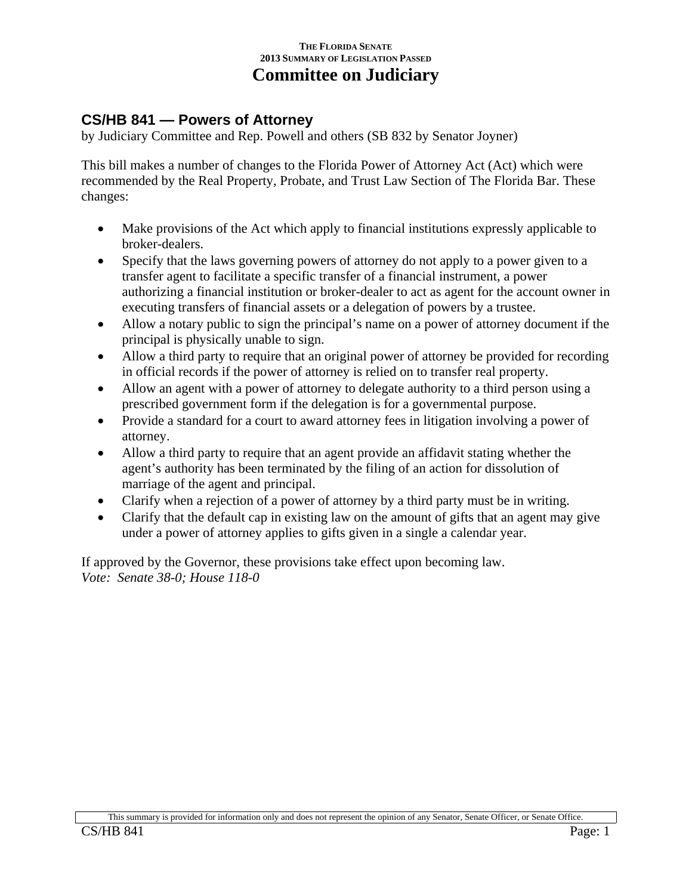### **CS/HB 841 — Powers of Attorney**

by Judiciary Committee and Rep. Powell and others (SB 832 by Senator Joyner)

This bill makes a number of changes to the Florida Power of Attorney Act (Act) which were recommended by the Real Property, Probate, and Trust Law Section of The Florida Bar. These changes:

- Make provisions of the Act which apply to financial institutions expressly applicable to broker-dealers.
- Specify that the laws governing powers of attorney do not apply to a power given to a transfer agent to facilitate a specific transfer of a financial instrument, a power authorizing a financial institution or broker-dealer to act as agent for the account owner in executing transfers of financial assets or a delegation of powers by a trustee.
- Allow a notary public to sign the principal's name on a power of attorney document if the principal is physically unable to sign.
- Allow a third party to require that an original power of attorney be provided for recording in official records if the power of attorney is relied on to transfer real property.
- Allow an agent with a power of attorney to delegate authority to a third person using a prescribed government form if the delegation is for a governmental purpose.
- Provide a standard for a court to award attorney fees in litigation involving a power of attorney.
- Allow a third party to require that an agent provide an affidavit stating whether the agent's authority has been terminated by the filing of an action for dissolution of marriage of the agent and principal.
- Clarify when a rejection of a power of attorney by a third party must be in writing.
- Clarify that the default cap in existing law on the amount of gifts that an agent may give under a power of attorney applies to gifts given in a single a calendar year.

If approved by the Governor, these provisions take effect upon becoming law. *Vote: Senate 38-0; House 118-0*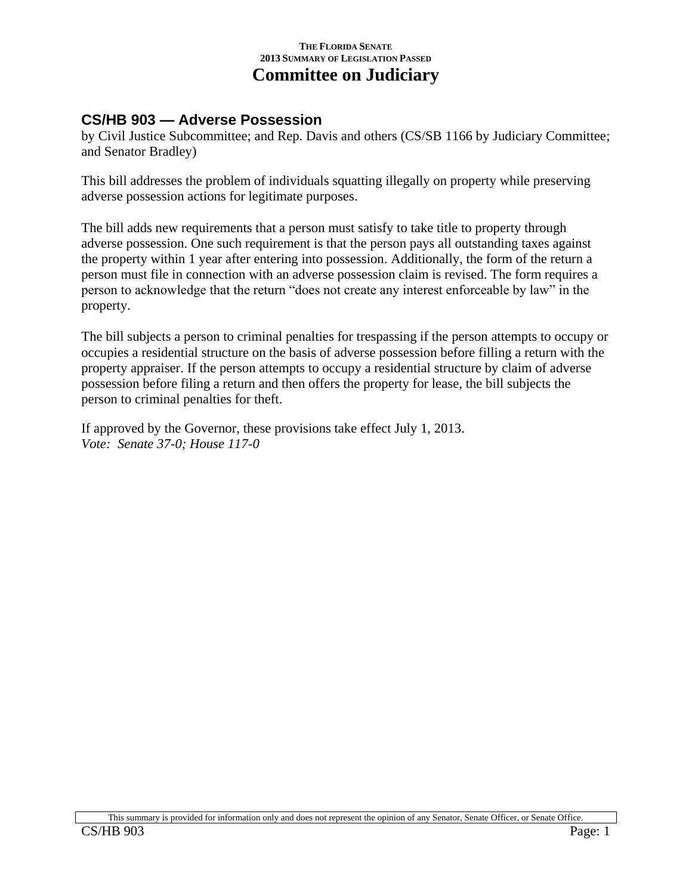### **CS/HB 903 — Adverse Possession**

by Civil Justice Subcommittee; and Rep. Davis and others (CS/SB 1166 by Judiciary Committee; and Senator Bradley)

This bill addresses the problem of individuals squatting illegally on property while preserving adverse possession actions for legitimate purposes.

The bill adds new requirements that a person must satisfy to take title to property through adverse possession. One such requirement is that the person pays all outstanding taxes against the property within 1 year after entering into possession. Additionally, the form of the return a person must file in connection with an adverse possession claim is revised. The form requires a person to acknowledge that the return "does not create any interest enforceable by law" in the property.

The bill subjects a person to criminal penalties for trespassing if the person attempts to occupy or occupies a residential structure on the basis of adverse possession before filling a return with the property appraiser. If the person attempts to occupy a residential structure by claim of adverse possession before filing a return and then offers the property for lease, the bill subjects the person to criminal penalties for theft.

If approved by the Governor, these provisions take effect July 1, 2013. *Vote: Senate 37-0; House 117-0*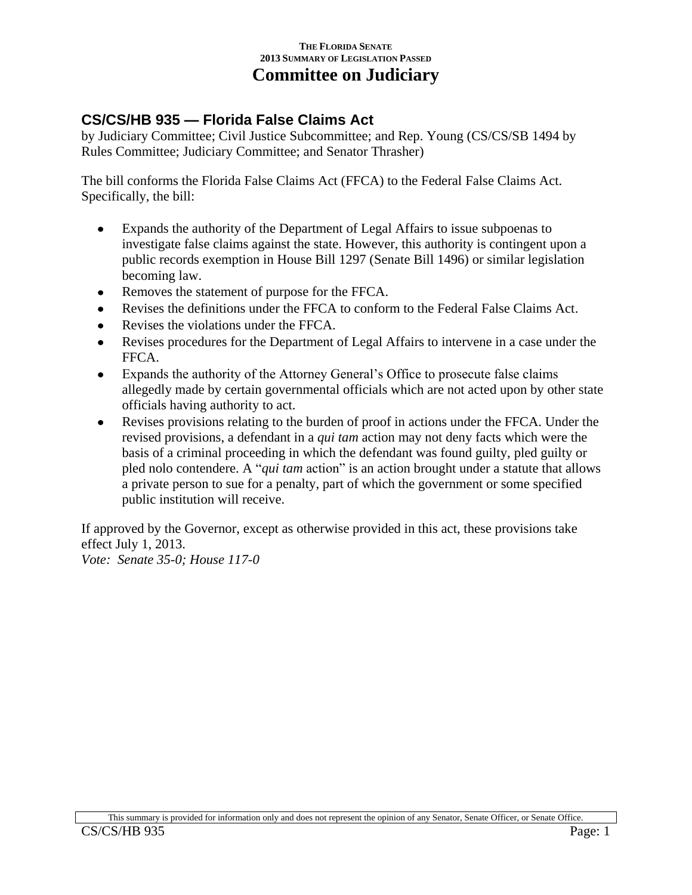### **CS/CS/HB 935 — Florida False Claims Act**

by Judiciary Committee; Civil Justice Subcommittee; and Rep. Young (CS/CS/SB 1494 by Rules Committee; Judiciary Committee; and Senator Thrasher)

The bill conforms the Florida False Claims Act (FFCA) to the Federal False Claims Act. Specifically, the bill:

- Expands the authority of the Department of Legal Affairs to issue subpoenas to investigate false claims against the state. However, this authority is contingent upon a public records exemption in House Bill 1297 (Senate Bill 1496) or similar legislation becoming law.
- Removes the statement of purpose for the FFCA.
- Revises the definitions under the FFCA to conform to the Federal False Claims Act.
- Revises the violations under the FFCA.
- Revises procedures for the Department of Legal Affairs to intervene in a case under the FFCA.
- Expands the authority of the Attorney General's Office to prosecute false claims allegedly made by certain governmental officials which are not acted upon by other state officials having authority to act.
- Revises provisions relating to the burden of proof in actions under the FFCA. Under the revised provisions, a defendant in a *qui tam* action may not deny facts which were the basis of a criminal proceeding in which the defendant was found guilty, pled guilty or pled nolo contendere. A "*qui tam* action" is an action brought under a statute that allows a private person to sue for a penalty, part of which the government or some specified public institution will receive.

If approved by the Governor, except as otherwise provided in this act, these provisions take effect July 1, 2013. *Vote: Senate 35-0; House 117-0*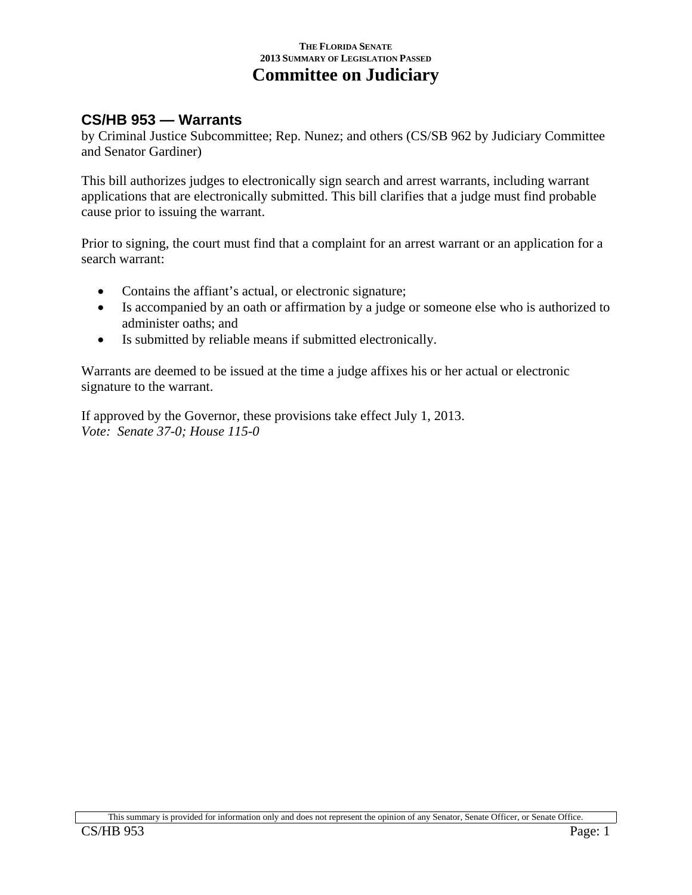### **CS/HB 953 — Warrants**

by Criminal Justice Subcommittee; Rep. Nunez; and others (CS/SB 962 by Judiciary Committee and Senator Gardiner)

This bill authorizes judges to electronically sign search and arrest warrants, including warrant applications that are electronically submitted. This bill clarifies that a judge must find probable cause prior to issuing the warrant.

Prior to signing, the court must find that a complaint for an arrest warrant or an application for a search warrant:

- Contains the affiant's actual, or electronic signature;
- Is accompanied by an oath or affirmation by a judge or someone else who is authorized to administer oaths; and
- Is submitted by reliable means if submitted electronically.

Warrants are deemed to be issued at the time a judge affixes his or her actual or electronic signature to the warrant.

If approved by the Governor, these provisions take effect July 1, 2013. *Vote: Senate 37-0; House 115-0*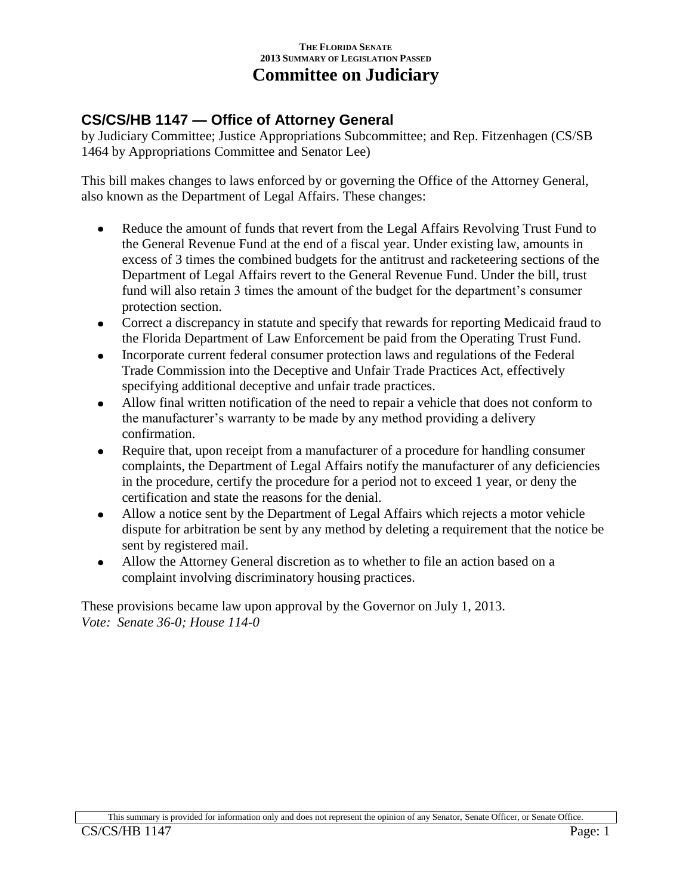### **CS/CS/HB 1147 — Office of Attorney General**

by Judiciary Committee; Justice Appropriations Subcommittee; and Rep. Fitzenhagen (CS/SB 1464 by Appropriations Committee and Senator Lee)

This bill makes changes to laws enforced by or governing the Office of the Attorney General, also known as the Department of Legal Affairs. These changes:

- Reduce the amount of funds that revert from the Legal Affairs Revolving Trust Fund to the General Revenue Fund at the end of a fiscal year. Under existing law, amounts in excess of 3 times the combined budgets for the antitrust and racketeering sections of the Department of Legal Affairs revert to the General Revenue Fund. Under the bill, trust fund will also retain 3 times the amount of the budget for the department's consumer protection section.
- Correct a discrepancy in statute and specify that rewards for reporting Medicaid fraud to the Florida Department of Law Enforcement be paid from the Operating Trust Fund.
- Incorporate current federal consumer protection laws and regulations of the Federal Trade Commission into the Deceptive and Unfair Trade Practices Act, effectively specifying additional deceptive and unfair trade practices.
- Allow final written notification of the need to repair a vehicle that does not conform to the manufacturer's warranty to be made by any method providing a delivery confirmation.
- Require that, upon receipt from a manufacturer of a procedure for handling consumer complaints, the Department of Legal Affairs notify the manufacturer of any deficiencies in the procedure, certify the procedure for a period not to exceed 1 year, or deny the certification and state the reasons for the denial.
- Allow a notice sent by the Department of Legal Affairs which rejects a motor vehicle dispute for arbitration be sent by any method by deleting a requirement that the notice be sent by registered mail.
- Allow the Attorney General discretion as to whether to file an action based on a complaint involving discriminatory housing practices.

These provisions became law upon approval by the Governor on July 1, 2013. *Vote: Senate 36-0; House 114-0*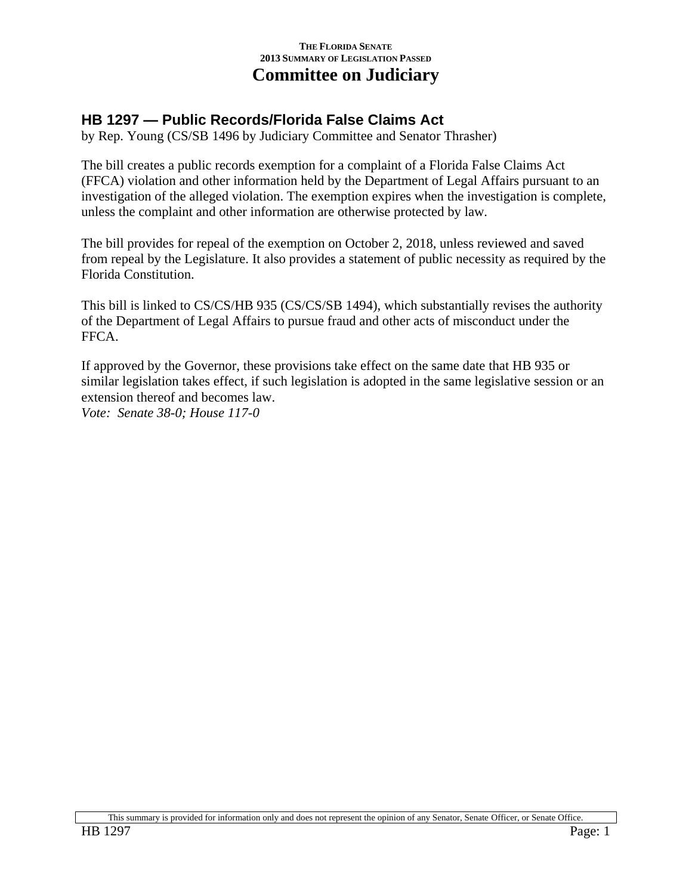### **HB 1297 — Public Records/Florida False Claims Act**

by Rep. Young (CS/SB 1496 by Judiciary Committee and Senator Thrasher)

The bill creates a public records exemption for a complaint of a Florida False Claims Act (FFCA) violation and other information held by the Department of Legal Affairs pursuant to an investigation of the alleged violation. The exemption expires when the investigation is complete, unless the complaint and other information are otherwise protected by law.

The bill provides for repeal of the exemption on October 2, 2018, unless reviewed and saved from repeal by the Legislature. It also provides a statement of public necessity as required by the Florida Constitution.

This bill is linked to CS/CS/HB 935 (CS/CS/SB 1494), which substantially revises the authority of the Department of Legal Affairs to pursue fraud and other acts of misconduct under the FFCA.

If approved by the Governor, these provisions take effect on the same date that HB 935 or similar legislation takes effect, if such legislation is adopted in the same legislative session or an extension thereof and becomes law. *Vote: Senate 38-0; House 117-0*

This summary is provided for information only and does not represent the opinion of any Senator, Senate Officer, or Senate Office.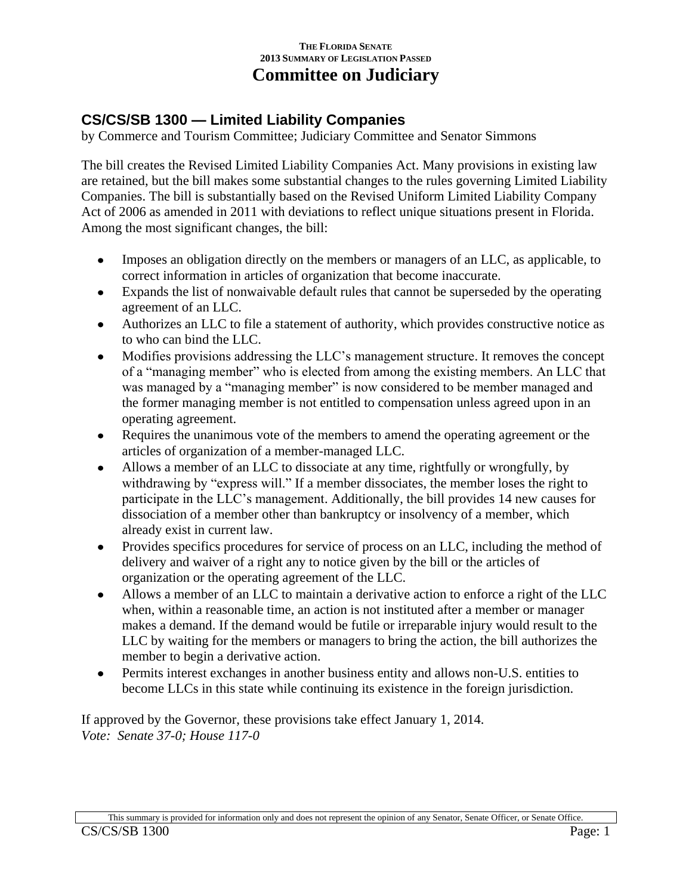# **CS/CS/SB 1300 — Limited Liability Companies**

by Commerce and Tourism Committee; Judiciary Committee and Senator Simmons

The bill creates the Revised Limited Liability Companies Act. Many provisions in existing law are retained, but the bill makes some substantial changes to the rules governing Limited Liability Companies. The bill is substantially based on the Revised Uniform Limited Liability Company Act of 2006 as amended in 2011 with deviations to reflect unique situations present in Florida. Among the most significant changes, the bill:

- Imposes an obligation directly on the members or managers of an LLC, as applicable, to correct information in articles of organization that become inaccurate.
- Expands the list of nonwaivable default rules that cannot be superseded by the operating agreement of an LLC.
- Authorizes an LLC to file a statement of authority, which provides constructive notice as to who can bind the LLC.
- Modifies provisions addressing the LLC's management structure. It removes the concept of a "managing member" who is elected from among the existing members. An LLC that was managed by a "managing member" is now considered to be member managed and the former managing member is not entitled to compensation unless agreed upon in an operating agreement.
- Requires the unanimous vote of the members to amend the operating agreement or the articles of organization of a member-managed LLC.
- Allows a member of an LLC to dissociate at any time, rightfully or wrongfully, by withdrawing by "express will." If a member dissociates, the member loses the right to participate in the LLC's management. Additionally, the bill provides 14 new causes for dissociation of a member other than bankruptcy or insolvency of a member, which already exist in current law.
- Provides specifics procedures for service of process on an LLC, including the method of  $\bullet$ delivery and waiver of a right any to notice given by the bill or the articles of organization or the operating agreement of the LLC.
- Allows a member of an LLC to maintain a derivative action to enforce a right of the LLC when, within a reasonable time, an action is not instituted after a member or manager makes a demand. If the demand would be futile or irreparable injury would result to the LLC by waiting for the members or managers to bring the action, the bill authorizes the member to begin a derivative action.
- Permits interest exchanges in another business entity and allows non-U.S. entities to  $\bullet$ become LLCs in this state while continuing its existence in the foreign jurisdiction.

If approved by the Governor, these provisions take effect January 1, 2014. *Vote: Senate 37-0; House 117-0*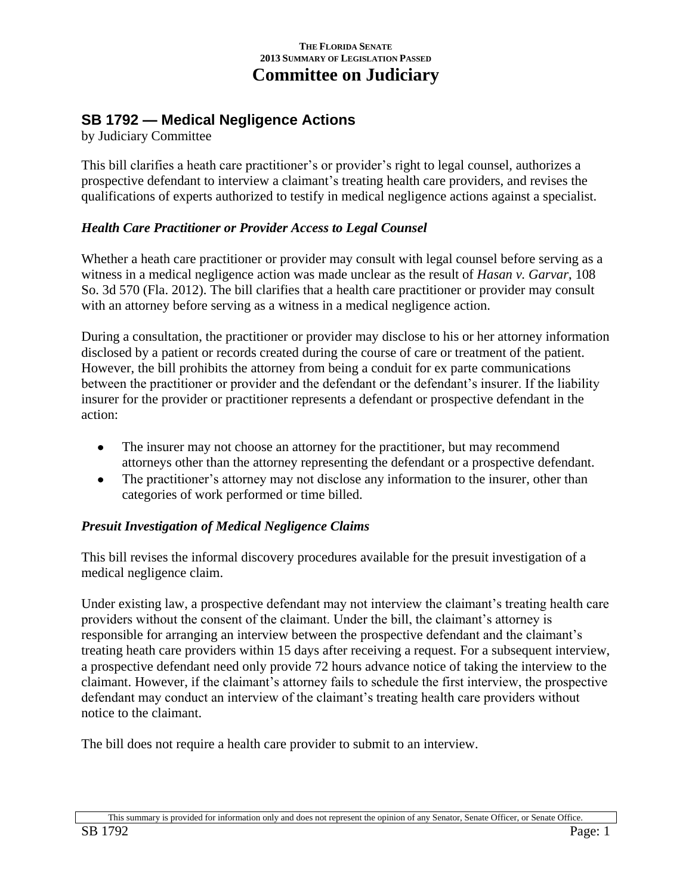### **SB 1792 — Medical Negligence Actions**

by Judiciary Committee

This bill clarifies a heath care practitioner's or provider's right to legal counsel, authorizes a prospective defendant to interview a claimant's treating health care providers, and revises the qualifications of experts authorized to testify in medical negligence actions against a specialist.

### *Health Care Practitioner or Provider Access to Legal Counsel*

Whether a heath care practitioner or provider may consult with legal counsel before serving as a witness in a medical negligence action was made unclear as the result of *Hasan v. Garvar*, 108 So. 3d 570 (Fla. 2012). The bill clarifies that a health care practitioner or provider may consult with an attorney before serving as a witness in a medical negligence action.

During a consultation, the practitioner or provider may disclose to his or her attorney information disclosed by a patient or records created during the course of care or treatment of the patient. However, the bill prohibits the attorney from being a conduit for ex parte communications between the practitioner or provider and the defendant or the defendant's insurer. If the liability insurer for the provider or practitioner represents a defendant or prospective defendant in the action:

- The insurer may not choose an attorney for the practitioner, but may recommend  $\bullet$ attorneys other than the attorney representing the defendant or a prospective defendant.
- The practitioner's attorney may not disclose any information to the insurer, other than  $\bullet$ categories of work performed or time billed.

### *Presuit Investigation of Medical Negligence Claims*

This bill revises the informal discovery procedures available for the presuit investigation of a medical negligence claim.

Under existing law, a prospective defendant may not interview the claimant's treating health care providers without the consent of the claimant. Under the bill, the claimant's attorney is responsible for arranging an interview between the prospective defendant and the claimant's treating heath care providers within 15 days after receiving a request. For a subsequent interview, a prospective defendant need only provide 72 hours advance notice of taking the interview to the claimant. However, if the claimant's attorney fails to schedule the first interview, the prospective defendant may conduct an interview of the claimant's treating health care providers without notice to the claimant.

The bill does not require a health care provider to submit to an interview.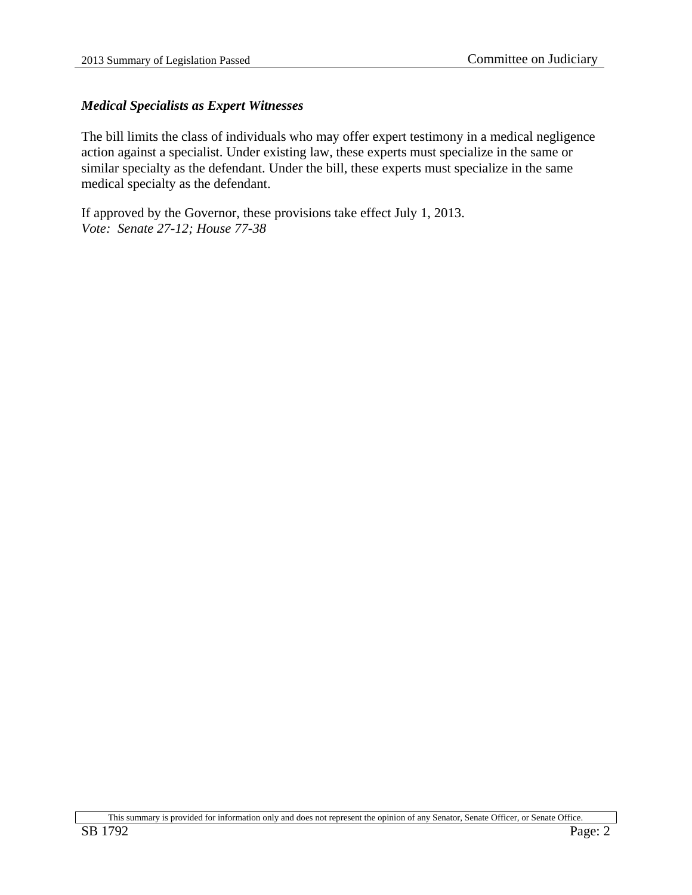### *Medical Specialists as Expert Witnesses*

The bill limits the class of individuals who may offer expert testimony in a medical negligence action against a specialist. Under existing law, these experts must specialize in the same or similar specialty as the defendant. Under the bill, these experts must specialize in the same medical specialty as the defendant.

If approved by the Governor, these provisions take effect July 1, 2013. *Vote: Senate 27-12; House 77-38*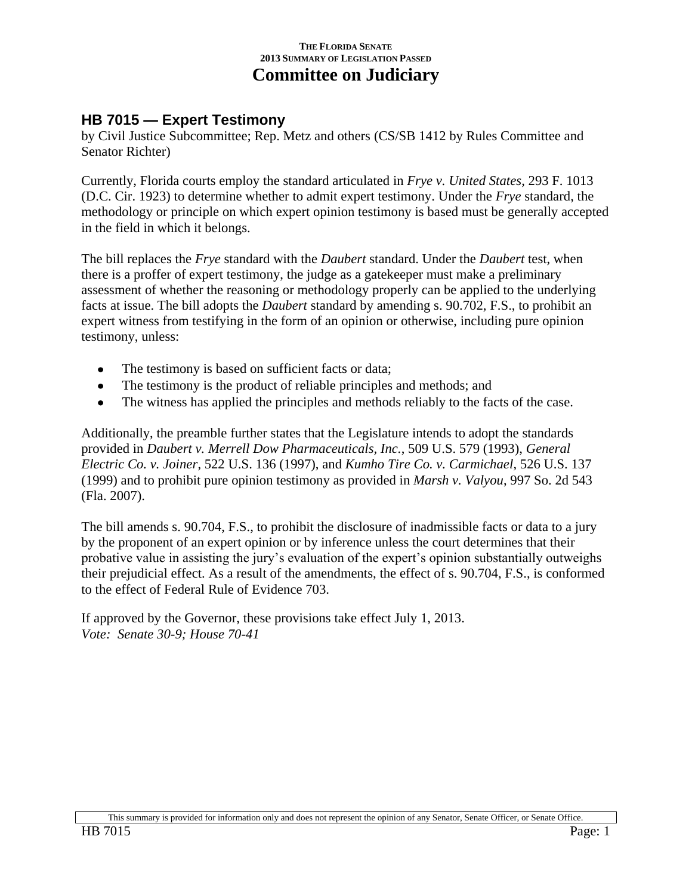### **HB 7015 — Expert Testimony**

by Civil Justice Subcommittee; Rep. Metz and others (CS/SB 1412 by Rules Committee and Senator Richter)

Currently, Florida courts employ the standard articulated in *Frye v. United States*, 293 F. 1013 (D.C. Cir. 1923) to determine whether to admit expert testimony. Under the *Frye* standard, the methodology or principle on which expert opinion testimony is based must be generally accepted in the field in which it belongs.

The bill replaces the *Frye* standard with the *Daubert* standard. Under the *Daubert* test, when there is a proffer of expert testimony, the judge as a gatekeeper must make a preliminary assessment of whether the reasoning or methodology properly can be applied to the underlying facts at issue. The bill adopts the *Daubert* standard by amending s. 90.702, F.S., to prohibit an expert witness from testifying in the form of an opinion or otherwise, including pure opinion testimony, unless:

- The testimony is based on sufficient facts or data;  $\bullet$
- The testimony is the product of reliable principles and methods; and
- The witness has applied the principles and methods reliably to the facts of the case.

Additionally, the preamble further states that the Legislature intends to adopt the standards provided in *Daubert v. Merrell Dow Pharmaceuticals, Inc.*, 509 U.S. 579 (1993), *General Electric Co. v. Joiner*, 522 U.S. 136 (1997), and *Kumho Tire Co. v. Carmichael*, 526 U.S. 137 (1999) and to prohibit pure opinion testimony as provided in *Marsh v. Valyou*, 997 So. 2d 543 (Fla. 2007).

The bill amends s. 90.704, F.S., to prohibit the disclosure of inadmissible facts or data to a jury by the proponent of an expert opinion or by inference unless the court determines that their probative value in assisting the jury's evaluation of the expert's opinion substantially outweighs their prejudicial effect. As a result of the amendments, the effect of s. 90.704, F.S., is conformed to the effect of Federal Rule of Evidence 703.

If approved by the Governor, these provisions take effect July 1, 2013. *Vote: Senate 30-9; House 70-41*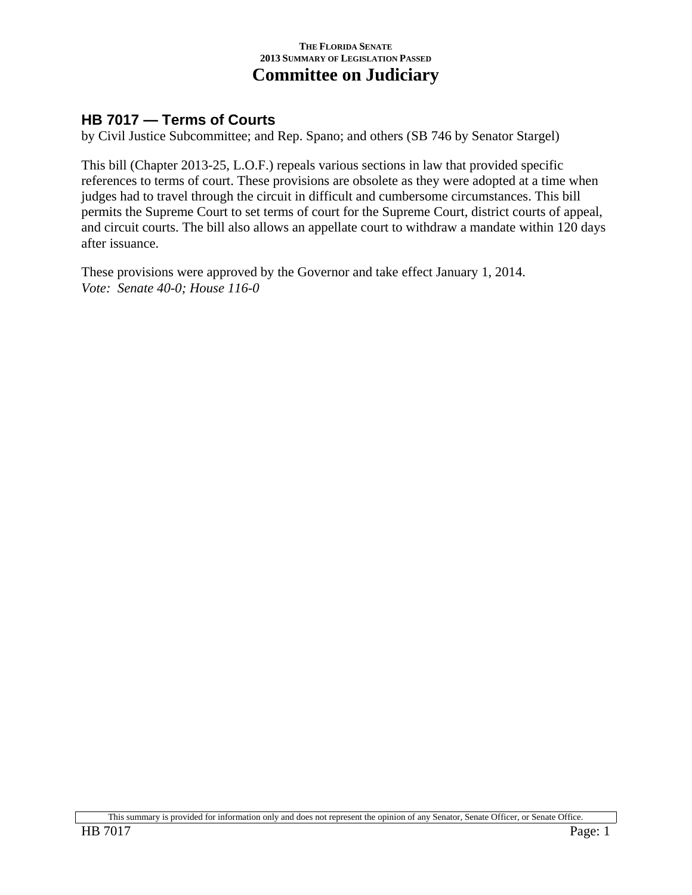### **HB 7017 — Terms of Courts**

by Civil Justice Subcommittee; and Rep. Spano; and others (SB 746 by Senator Stargel)

This bill (Chapter 2013-25, L.O.F.) repeals various sections in law that provided specific references to terms of court. These provisions are obsolete as they were adopted at a time when judges had to travel through the circuit in difficult and cumbersome circumstances. This bill permits the Supreme Court to set terms of court for the Supreme Court, district courts of appeal, and circuit courts. The bill also allows an appellate court to withdraw a mandate within 120 days after issuance.

These provisions were approved by the Governor and take effect January 1, 2014. *Vote: Senate 40-0; House 116-0* 

This summary is provided for information only and does not represent the opinion of any Senator, Senate Officer, or Senate Office.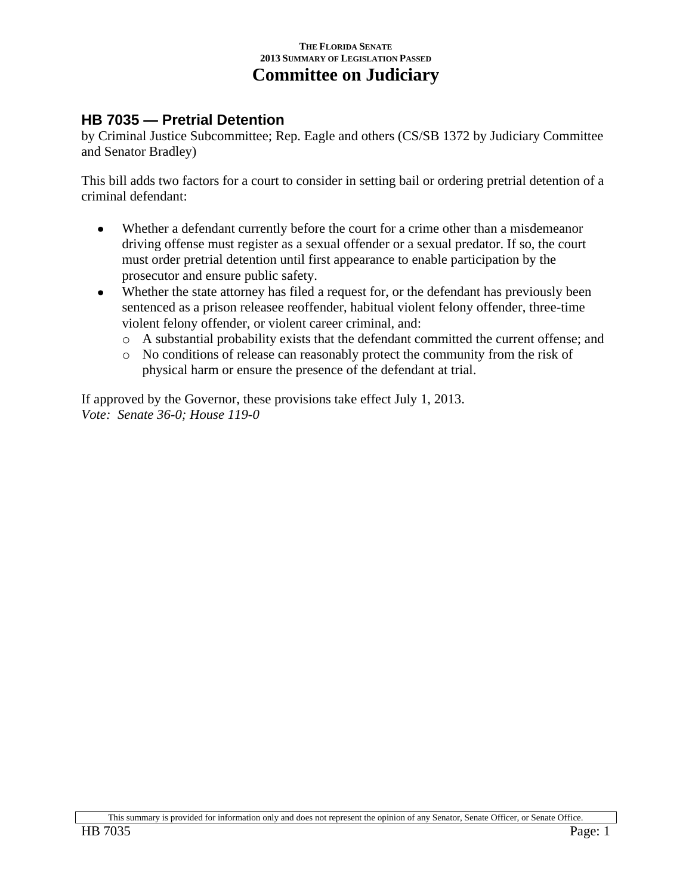### **HB 7035 — Pretrial Detention**

by Criminal Justice Subcommittee; Rep. Eagle and others (CS/SB 1372 by Judiciary Committee and Senator Bradley)

This bill adds two factors for a court to consider in setting bail or ordering pretrial detention of a criminal defendant:

- $\bullet$ Whether a defendant currently before the court for a crime other than a misdemeanor driving offense must register as a sexual offender or a sexual predator. If so, the court must order pretrial detention until first appearance to enable participation by the prosecutor and ensure public safety.
- Whether the state attorney has filed a request for, or the defendant has previously been  $\bullet$ sentenced as a prison releasee reoffender, habitual violent felony offender, three-time violent felony offender, or violent career criminal, and:
	- o A substantial probability exists that the defendant committed the current offense; and
	- o No conditions of release can reasonably protect the community from the risk of physical harm or ensure the presence of the defendant at trial.

If approved by the Governor, these provisions take effect July 1, 2013. *Vote: Senate 36-0; House 119-0*